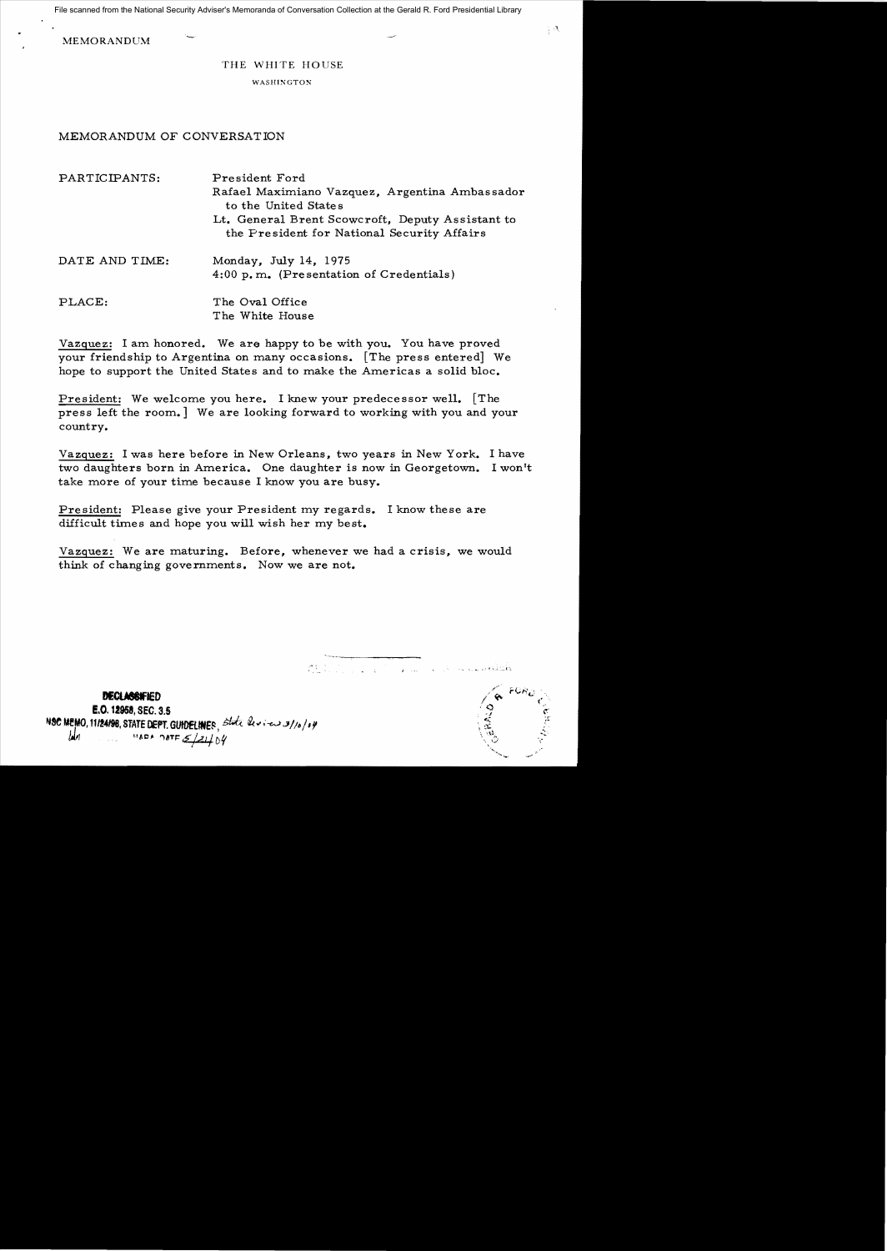File scanned from the National Security Adviser's Memoranda of Conversation Collection at the Gerald R. Ford Presidential Library

MEMORANDUM

THE WHITE HOUSE

WASHINGTON

## MEMORANDUM OF CONVERSATION

| PARTICIPANTS:  | President Ford<br>Rafael Maximiano Vazquez, Argentina Ambassador<br>to the United States        |
|----------------|-------------------------------------------------------------------------------------------------|
|                | Lt. General Brent Scowcroft, Deputy Assistant to<br>the President for National Security Affairs |
| DATE AND TIME: | Monday, July 14, 1975<br>4:00 p.m. (Presentation of Credentials)                                |
| PLACE:         | The Oval Office<br>The White House                                                              |

Vazquez: I am honored. We are happy to be with you. You have proved your friendship to Argentina on many occasions. [The press entered] We hope to support the United States and to make the Americas a solid bloc.

President: We welcome you here. I knew your predecessor well. [The press left the room.] We are looking forward to working with you and your country.

Vazquez: I was here before in New Orleans, two years in New York. I have two daughters born in America. One daughter is now in Georgetown. I won't take more of your time because I know you are busy.

President: Please give your President my regards. I know these are difficult times and hope you will wish her my best.

Vazguez: We are maturing. Before, whenever we had a crisis, we would think of changing governments. Now we are not.

 $\mathcal{L}$ ,  $\mathcal{L}$  ,  $\mathcal{L}$  ,  $\mathcal{L}$  ,  $\mathcal{L}$  ,  $\mathcal{L}$  ,  $\mathcal{L}$  ,  $\mathcal{L}$  ,  $\mathcal{L}$  ,  $\mathcal{L}$  ,  $\mathcal{L}$  ,  $\mathcal{L}$  ,  $\mathcal{L}$  ,  $\mathcal{L}$  ,  $\mathcal{L}$  ,  $\mathcal{L}$  ,  $\mathcal{L}$  ,  $\mathcal{L}$  ,  $\mathcal{L}$  ,  $\mathcal{L}$  ,  $\$ 



 $FOR_{D}$  .  $\langle \cdot \rangle$ 

 $\frac{1}{3}$  eV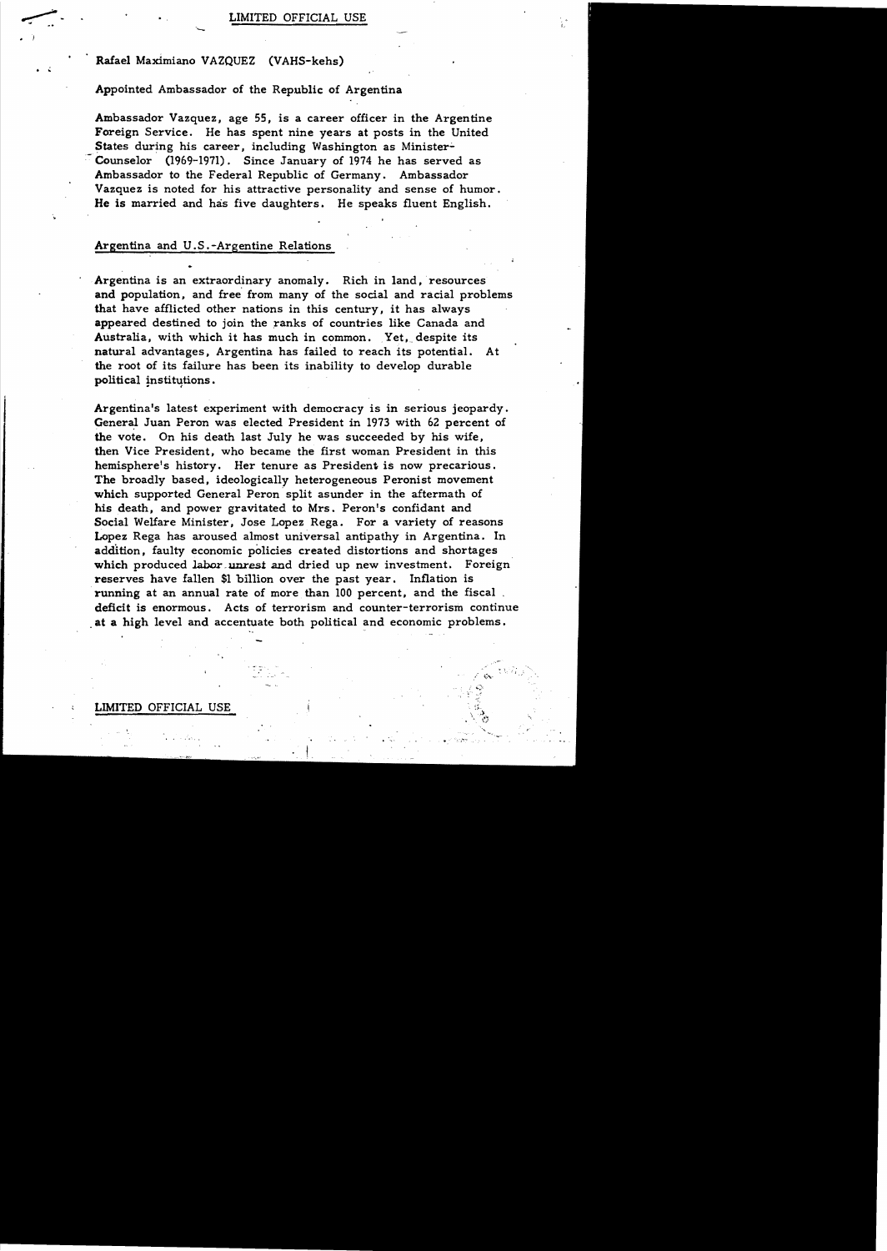# Rafael Maximiano VAZQUEZ (VAHS-kehs)

<sup>-</sup>

• j

### Appointed Ambassador of the Republic of Argentina

Ambassador Vazquez, age 55, is a career officer in the Argentine Foreign Service. He has spent nine years at posts in the United States during his career, including Washington as Minister-Counselor (1969-1971) . Since January of 1974 he has served as Ambassador to the Federal Republic of Germany. Ambassador Vazquez is noted for his attractive personality and sense of humor. He is married and has five daughters. He speaks fluent English.

### Argentina and U.S .-Argentine Relations

Argentina is an extraordinary anomaly. Rich in land, resources and population, and free' from many of the social and racial problems that have afflicted other nations in this century, it has always appeared destined to join the ranks of countries like Canada and Australia, with which it has much in common. Yet, despite its natural advantages. Argentina has failed to reach its potential. At the root of its failure has been its inability to develop durable political institutions.

Argentina's latest experiment with democracy is in serious jeopardy. General Juan Peron was elected President in 1973 with 62 percent of the vote. On his death last July he was succeeded by his wife, then Vice President, who became the first woman President in this hemisphere's history. Her tenure as President is now precarious. The broadly based, ideologically heterogeneous Peronist movement which supported General Peron split asunder in the aftermath of his death, and power gravitated to Mrs. Peron's confidant and Social Welfare Minister, Jose Lopez Rega. For a variety of reasons Lopez Rega has aroused almost universal antipathy in Argentina. In addition, faulty economic policies created distortions and shortages which produced labor unrest and dried up new investment. Foreign reserves have fallen \$1 billion over the past year. Inflation is running at an annual rate of more than 100 percent, and the fiscal. deficit is enormous. Acts of terrorism and counter-terrorism continue at a high level and accentuate both political and economic problems.

#### LIMITED OFFICIAL USE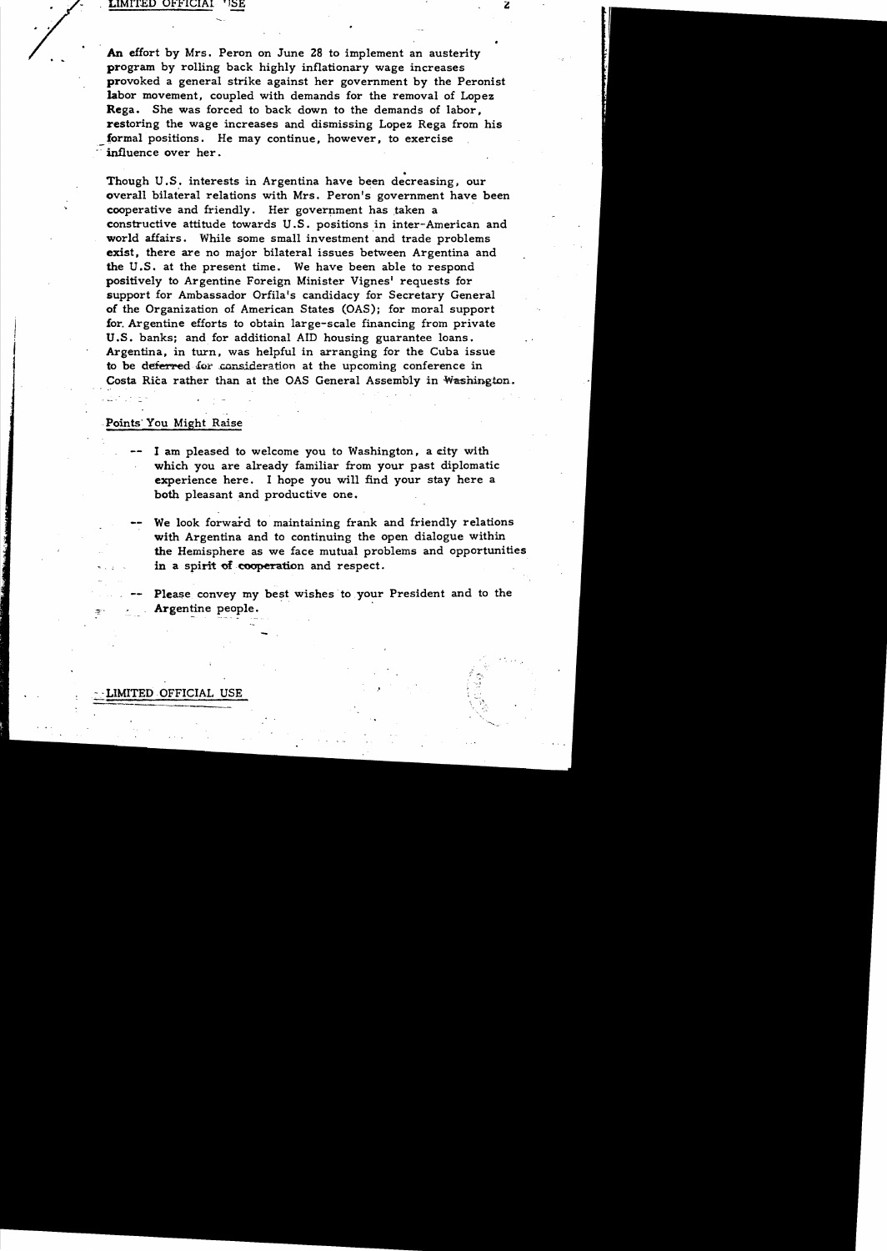#### LIMITED OFFICIAL **USE**

An effort by Mrs. Peron on June 28 to implement an austerity program by rolling back highly inflationary wage increases provoked a general strike against her government by the Peronist labor movement, coupled with demands for the removal of Lopez Rega. She was forced to back down to the demands of labor, restoring the wage increases and dismissing Lopez Rega from his formal positions. He may continue, however, to exercise influence over her.

• Though U.S. interests in Argentina have been decreasing, our overall bilateral relations with Mrs. Peron's government have been cooperative and friendly. Her government has taken a constructive attitude towards U.S. positions in inter-American and world affairs. While some small investment and trade problems exist, there are no major bilateral issues between Argentina and the U.S. at the present time. We have been able to respond positively to Argentine Foreign Minister Vignes' requests for support for Ambassador OrfiIa's candidacy for Secretary General of the Organization of American States (OAS); for moral support for. Argentine efforts to obtain large-scale financing from private U.S. banks; and for additional AID housing guarantee loans. Argentina, in turn, was helpful in arranging for the Cuba issue to be deferred for consideration at the upcoming conference in Costa Rica rather than at the OAS General Assembly in Washington.

### Points· You Might Raise

- I am pleased to welcome you to Washington, a city with which you are already familiar from your past diplomatic experience here. I hope you will find your stay here a both pleasant and productive one.
	- We look forward to maintaining frank and friendly relations with Argentina and to continuing the open dialogue within the Hemisphere as we face mutual problems and opportunities in a spirit of cooperation and respect.

Please convey my best wishes to your President and to the Argentine people.

### LIMITED OFFICIAL USE

Z